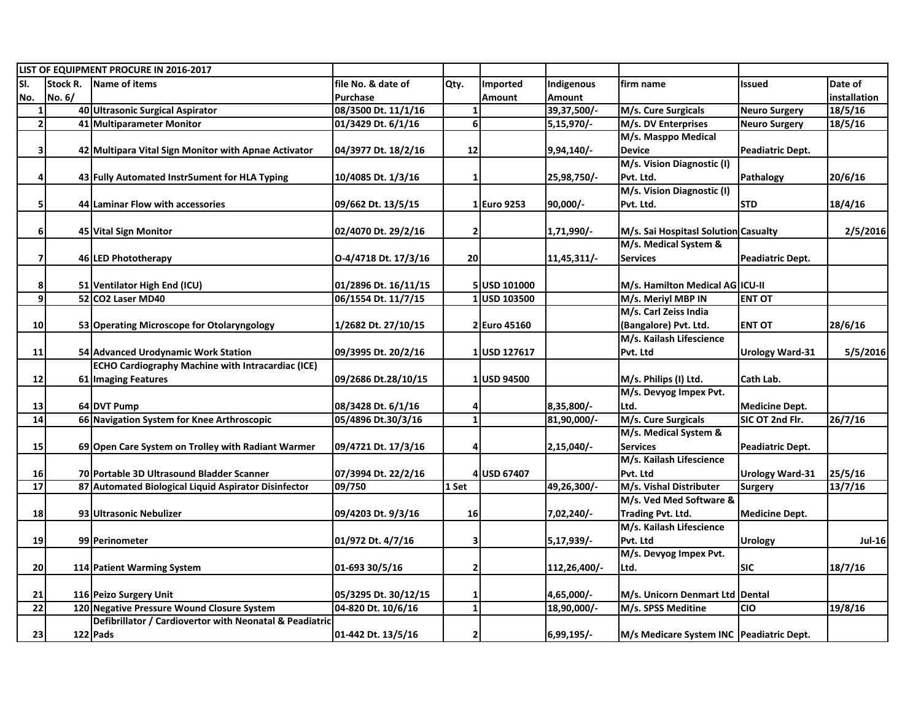|                         |                 | LIST OF EQUIPMENT PROCURE IN 2016-2017                   |                      |                 |              |               |                                          |                        |               |
|-------------------------|-----------------|----------------------------------------------------------|----------------------|-----------------|--------------|---------------|------------------------------------------|------------------------|---------------|
| SI.                     | <b>Stock R.</b> | Name of items                                            | file No. & date of   | Qty.            | Imported     | Indigenous    | firm name                                | <b>Issued</b>          | Date of       |
| No.                     | No. 6/          |                                                          | Purchase             |                 | Amount       | <b>Amount</b> |                                          |                        | installation  |
| 1                       |                 | 40 Ultrasonic Surgical Aspirator                         | 08/3500 Dt. 11/1/16  | $\mathbf 1$     |              | 39,37,500/-   | M/s. Cure Surgicals                      | <b>Neuro Surgery</b>   | 18/5/16       |
| $\mathbf{2}$            |                 | 41 Multiparameter Monitor                                | 01/3429 Dt. 6/1/16   | $6 \mid$        |              | 5,15,970/-    | M/s. DV Enterprises                      | <b>Neuro Surgery</b>   | 18/5/16       |
|                         |                 |                                                          |                      |                 |              |               | M/s. Masppo Medical                      |                        |               |
| $\overline{\mathbf{3}}$ |                 | 42 Multipara Vital Sign Monitor with Apnae Activator     | 04/3977 Dt. 18/2/16  | 12              |              | 9,94,140/-    | <b>Device</b>                            | Peadiatric Dept.       |               |
|                         |                 |                                                          |                      |                 |              |               | M/s. Vision Diagnostic (I)               |                        |               |
| 4                       |                 | 43 Fully Automated Instr5ument for HLA Typing            | 10/4085 Dt. 1/3/16   | 1               |              | 25,98,750/-   | Pvt. Ltd.                                | Pathalogy              | 20/6/16       |
|                         |                 |                                                          |                      |                 |              |               | M/s. Vision Diagnostic (I)               |                        |               |
| 5                       |                 | 44 Laminar Flow with accessories                         | 09/662 Dt. 13/5/15   |                 | 1 Euro 9253  | 90,000/-      | Pvt. Ltd.                                | <b>STD</b>             | 18/4/16       |
|                         |                 |                                                          |                      |                 |              |               |                                          |                        |               |
| 6                       |                 | 45 Vital Sign Monitor                                    | 02/4070 Dt. 29/2/16  | 2               |              | $1,71,990/-$  | M/s. Sai Hospitasl Solution Casualty     |                        | 2/5/2016      |
|                         |                 |                                                          |                      |                 |              |               | M/s. Medical System &                    |                        |               |
| $\overline{7}$          |                 | 46 LED Phototherapy                                      | O-4/4718 Dt. 17/3/16 | 20              |              | 11,45,311/    | <b>Services</b>                          | Peadiatric Dept.       |               |
|                         |                 |                                                          |                      |                 |              |               |                                          |                        |               |
| 8                       |                 | 51 Ventilator High End (ICU)                             | 01/2896 Dt. 16/11/15 |                 | 5 USD 101000 |               | M/s. Hamilton Medical AG ICU-II          |                        |               |
| $\overline{9}$          |                 | 52 CO2 Laser MD40                                        | 06/1554 Dt. 11/7/15  |                 | 1 USD 103500 |               | M/s. Meriyl MBP IN                       | <b>ENT OT</b>          |               |
|                         |                 |                                                          |                      |                 |              |               | M/s. Carl Zeiss India                    |                        |               |
| 10                      |                 | 53 Operating Microscope for Otolaryngology               | 1/2682 Dt. 27/10/15  |                 | 2 Euro 45160 |               | (Bangalore) Pvt. Ltd.                    | <b>ENT OT</b>          | 28/6/16       |
|                         |                 |                                                          |                      |                 |              |               | M/s. Kailash Lifescience                 |                        |               |
| 11                      |                 | 54 Advanced Urodynamic Work Station                      | 09/3995 Dt. 20/2/16  |                 | 1USD 127617  |               | Pvt. Ltd                                 | <b>Urology Ward-31</b> | 5/5/2016      |
|                         |                 | <b>ECHO Cardiography Machine with Intracardiac (ICE)</b> |                      |                 |              |               |                                          |                        |               |
| 12                      |                 | 61 Imaging Features                                      | 09/2686 Dt.28/10/15  |                 | 1 USD 94500  |               | M/s. Philips (I) Ltd.                    | Cath Lab.              |               |
|                         |                 |                                                          |                      |                 |              |               | M/s. Devyog Impex Pvt.                   |                        |               |
| 13                      |                 | 64 DVT Pump                                              | 08/3428 Dt. 6/1/16   | 41              |              | 8,35,800/-    | Ltd.                                     | <b>Medicine Dept.</b>  |               |
| $\overline{14}$         |                 | 66 Navigation System for Knee Arthroscopic               | 05/4896 Dt.30/3/16   | $1\overline{ }$ |              | 81,90,000/-   | M/s. Cure Surgicals                      | SIC OT 2nd Flr.        | 26/7/16       |
|                         |                 |                                                          |                      |                 |              |               | M/s. Medical System &                    |                        |               |
| 15                      |                 | 69 Open Care System on Trolley with Radiant Warmer       | 09/4721 Dt. 17/3/16  | 41              |              | $2,15,040/-$  | <b>Services</b>                          | Peadiatric Dept.       |               |
|                         |                 |                                                          |                      |                 |              |               | M/s. Kailash Lifescience                 |                        |               |
| 16                      |                 | 70 Portable 3D Ultrasound Bladder Scanner                | 07/3994 Dt. 22/2/16  |                 | 4 USD 67407  |               | Pvt. Ltd                                 | <b>Urology Ward-31</b> | 25/5/16       |
| 17                      |                 | 87 Automated Biological Liquid Aspirator Disinfector     | 09/750               | 1 Set           |              | 49,26,300/-   | M/s. Vishal Distributer                  | <b>Surgery</b>         | 13/7/16       |
|                         |                 |                                                          |                      |                 |              |               | M/s. Ved Med Software &                  |                        |               |
| 18                      |                 | 93 Ultrasonic Nebulizer                                  | 09/4203 Dt. 9/3/16   | 16              |              | 7,02,240/-    | <b>Trading Pvt. Ltd.</b>                 | <b>Medicine Dept.</b>  |               |
|                         |                 |                                                          |                      |                 |              |               | M/s. Kailash Lifescience                 |                        |               |
| 19                      |                 | 99 Perinometer                                           | 01/972 Dt. 4/7/16    | 3               |              | 5,17,939/-    | Pvt. Ltd                                 | <b>Urology</b>         | <b>Jul-16</b> |
|                         |                 |                                                          |                      |                 |              |               | M/s. Devyog Impex Pvt.                   |                        |               |
| 20                      |                 | 114 Patient Warming System                               | 01-693 30/5/16       | 2               |              | 112,26,400/-  | Ltd.                                     | <b>SIC</b>             | 18/7/16       |
|                         |                 |                                                          |                      |                 |              |               |                                          |                        |               |
| 21                      |                 | 116 Peizo Surgery Unit                                   | 05/3295 Dt. 30/12/15 | $\mathbf{1}$    |              | 4,65,000/-    | M/s. Unicorn Denmart Ltd   Dental        |                        |               |
| $\overline{22}$         |                 | 120 Negative Pressure Wound Closure System               | 04-820 Dt. 10/6/16   | $\mathbf{1}$    |              | 18,90,000/-   | M/s. SPSS Meditine                       | <b>CIO</b>             | 19/8/16       |
|                         |                 | Defibrillator / Cardiovertor with Neonatal & Peadiatric  |                      |                 |              |               |                                          |                        |               |
| 23                      |                 | 122 Pads                                                 | 01-442 Dt. 13/5/16   | $\mathbf{2}$    |              | 6,99,195/-    | M/s Medicare System INC Peadiatric Dept. |                        |               |